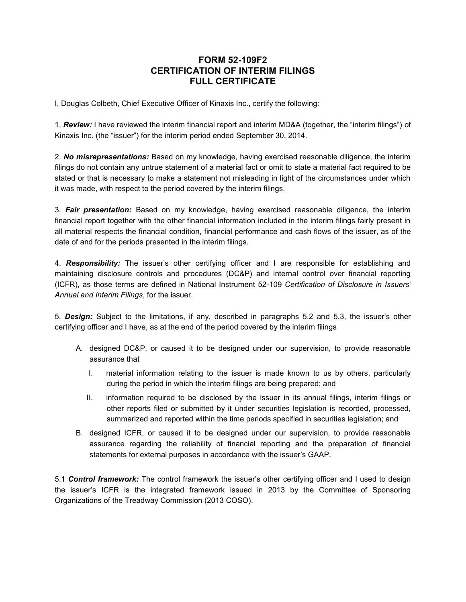## **FORM 52-109F2 CERTIFICATION OF INTERIM FILINGS FULL CERTIFICATE**

I, Douglas Colbeth, Chief Executive Officer of Kinaxis Inc., certify the following:

1. *Review:* I have reviewed the interim financial report and interim MD&A (together, the "interim filings") of Kinaxis Inc. (the "issuer") for the interim period ended September 30, 2014.

2. *No misrepresentations:* Based on my knowledge, having exercised reasonable diligence, the interim filings do not contain any untrue statement of a material fact or omit to state a material fact required to be stated or that is necessary to make a statement not misleading in light of the circumstances under which it was made, with respect to the period covered by the interim filings.

3. *Fair presentation:* Based on my knowledge, having exercised reasonable diligence, the interim financial report together with the other financial information included in the interim filings fairly present in all material respects the financial condition, financial performance and cash flows of the issuer, as of the date of and for the periods presented in the interim filings.

4. *Responsibility:* The issuer's other certifying officer and I are responsible for establishing and maintaining disclosure controls and procedures (DC&P) and internal control over financial reporting (ICFR), as those terms are defined in National Instrument 52-109 *Certification of Disclosure in Issuers' Annual and Interim Filings*, for the issuer.

5. *Design:* Subject to the limitations, if any, described in paragraphs 5.2 and 5.3, the issuer's other certifying officer and I have, as at the end of the period covered by the interim filings

- A. designed DC&P, or caused it to be designed under our supervision, to provide reasonable assurance that
	- I. material information relating to the issuer is made known to us by others, particularly during the period in which the interim filings are being prepared; and
	- II. information required to be disclosed by the issuer in its annual filings, interim filings or other reports filed or submitted by it under securities legislation is recorded, processed, summarized and reported within the time periods specified in securities legislation; and
- B. designed ICFR, or caused it to be designed under our supervision, to provide reasonable assurance regarding the reliability of financial reporting and the preparation of financial statements for external purposes in accordance with the issuer's GAAP.

5.1 *Control framework:* The control framework the issuer's other certifying officer and I used to design the issuer's ICFR is the integrated framework issued in 2013 by the Committee of Sponsoring Organizations of the Treadway Commission (2013 COSO).